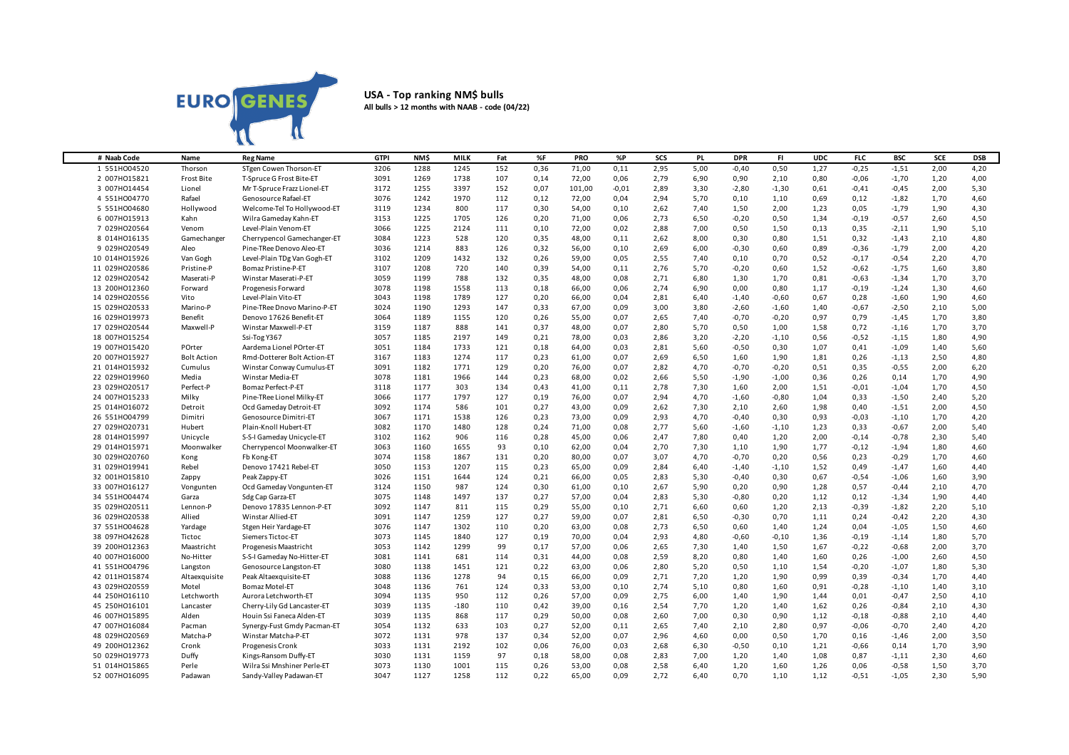

## **USA - Top ranking NM\$ bulls All bulls > 12 months with NAAB - code (04/22)**

| # Naab Code   | Name               | <b>Reg Name</b>             | <b>GTPI</b> | <b>NMS</b> | <b>MILK</b> | Fat | %F   | <b>PRO</b> | %P      | <b>SCS</b> | <b>PL</b> | <b>DPR</b> | FI.     | <b>UDC</b> | <b>FLC</b> | <b>BSC</b> | SCE  | <b>DSB</b> |
|---------------|--------------------|-----------------------------|-------------|------------|-------------|-----|------|------------|---------|------------|-----------|------------|---------|------------|------------|------------|------|------------|
| 1 551H004520  | Thorson            | STgen Cowen Thorson-ET      | 3206        | 1288       | 1245        | 152 | 0,36 | 71,00      | 0,11    | 2,95       | 5,00      | $-0,40$    | 0,50    | 1,27       | $-0,25$    | $-1,51$    | 2,00 | 4,20       |
| 2 007H015821  | Frost Bite         | T-Spruce G Frost Bite-ET    | 3091        | 1269       | 1738        | 107 | 0,14 | 72,00      | 0,06    | 2,79       | 6,90      | 0,90       | 2,10    | 0,80       | $-0,06$    | $-1,70$    | 1,20 | 4,00       |
| 3 007HO14454  | Lionel             | Mr T-Spruce Frazz Lionel-ET | 3172        | 1255       | 3397        | 152 | 0,07 | 101,00     | $-0,01$ | 2,89       | 3,30      | $-2,80$    | $-1,30$ | 0,61       | $-0,41$    | $-0,45$    | 2,00 | 5,30       |
| 4 551H004770  | Rafael             | Genosource Rafael-ET        | 3076        | 1242       | 1970        | 112 | 0,12 | 72,00      | 0,04    | 2,94       | 5,70      | 0,10       | 1,10    | 0,69       | 0,12       | $-1,82$    | 1,70 | 4,60       |
| 5 551H004680  | Hollywood          | Welcome-Tel To Hollywood-ET | 3119        | 1234       | 800         | 117 | 0,30 | 54,00      | 0,10    | 2,62       | 7,40      | 1,50       | 2,00    | 1,23       | 0,05       | $-1,79$    | 1,90 | 4,30       |
| 6 007H015913  | Kahn               | Wilra Gameday Kahn-ET       | 3153        | 1225       | 1705        | 126 | 0,20 | 71,00      | 0,06    | 2,73       | 6,50      | $-0,20$    | 0,50    | 1,34       | $-0,19$    | $-0,57$    | 2,60 | 4,50       |
| 7 029HO20564  | Venom              | Level-Plain Venom-ET        | 3066        | 1225       | 2124        | 111 | 0,10 | 72,00      | 0,02    | 2,88       | 7,00      | 0,50       | 1,50    | 0,13       | 0,35       | $-2,11$    | 1,90 | 5,10       |
| 8 014H016135  | Gamechanger        | Cherrypencol Gamechanger-ET | 3084        | 1223       | 528         | 120 | 0,35 | 48,00      | 0,11    | 2,62       | 8,00      | 0,30       | 0,80    | 1,51       | 0,32       | $-1,43$    | 2,10 | 4,80       |
| 9 029HO20549  | Aleo               | Pine-TRee Denovo Aleo-ET    | 3036        | 1214       | 883         | 126 | 0,32 | 56,00      | 0,10    | 2,69       | 6,00      | $-0,30$    | 0,60    | 0,89       | $-0,36$    | $-1,79$    | 2,00 | 4,20       |
| 10 014H015926 | Van Gogh           | Level-Plain TDg Van Gogh-ET | 3102        | 1209       | 1432        | 132 | 0,26 | 59,00      | 0,05    | 2,55       | 7,40      | 0,10       | 0.70    | 0,52       | $-0,17$    | $-0,54$    | 2,20 | 4,70       |
| 11 029H020586 | Pristine-P         | Bomaz Pristine-P-ET         | 3107        | 1208       | 720         | 140 | 0,39 | 54,00      | 0,11    | 2,76       | 5,70      | $-0,20$    | 0,60    | 1,52       | $-0,62$    | $-1,75$    | 1,60 | 3,80       |
| 12 029HO20542 | Maserati-P         | Winstar Maserati-P-ET       | 3059        | 1199       | 788         | 132 | 0,35 | 48,00      | 0,08    | 2,71       | 6,80      | 1,30       | 1,70    | 0,81       | $-0,63$    | $-1,34$    | 1,70 | 3,70       |
| 13 200HO12360 | Forward            | Progenesis Forward          | 3078        | 1198       | 1558        | 113 | 0,18 | 66,00      | 0,06    | 2,74       | 6,90      | 0,00       | 0,80    | 1,17       | $-0,19$    | $-1,24$    | 1,30 | 4,60       |
| 14 029HO20556 | Vito               | Level-Plain Vito-ET         | 3043        | 1198       | 1789        | 127 | 0,20 | 66,00      | 0,04    | 2,81       | 6,40      | $-1,40$    | $-0,60$ | 0,67       | 0,28       | $-1,60$    | 1,90 | 4,60       |
| 15 029HO20533 | Marino-P           | Pine-TRee Dnovo Marino-P-ET | 3024        | 1190       | 1293        | 147 | 0.33 | 67.00      | 0.09    | 3.00       | 3.80      | $-2,60$    | $-1,60$ | 1,40       | $-0,67$    | $-2,50$    | 2,10 | 5,00       |
| 16 029H019973 | Benefit            | Denovo 17626 Benefit-ET     | 3064        | 1189       | 1155        | 120 | 0,26 | 55,00      | 0,07    | 2,65       | 7,40      | $-0,70$    | $-0,20$ | 0,97       | 0,79       | $-1,45$    | 1,70 | 3,80       |
| 17 029HO20544 | Maxwell-P          | Winstar Maxwell-P-ET        | 3159        | 1187       | 888         | 141 | 0,37 | 48,00      | 0,07    | 2,80       | 5,70      | 0,50       | 1,00    | 1,58       | 0,72       | $-1,16$    | 1,70 | 3,70       |
| 18 007H015254 |                    | Ssi-Tog Y367                | 3057        | 1185       | 2197        | 149 | 0,21 | 78,00      | 0,03    | 2,86       | 3,20      | $-2,20$    | $-1,10$ | 0,56       | $-0,52$    | $-1,15$    | 1,80 | 4,90       |
| 19 007HO15420 | POrter             | Aardema Lionel POrter-ET    | 3051        | 1184       | 1733        | 121 | 0,18 | 64,00      | 0,03    | 2,81       | 5,60      | $-0,50$    | 0,30    | 1,07       | 0,41       | $-1,09$    | 1,40 | 5,60       |
| 20 007H015927 | <b>Bolt Action</b> | Rmd-Dotterer Bolt Action-ET | 3167        | 1183       | 1274        | 117 | 0,23 | 61,00      | 0,07    | 2,69       | 6,50      | 1,60       | 1,90    | 1,81       | 0,26       | $-1,13$    | 2,50 | 4,80       |
| 21 014H015932 | Cumulus            | Winstar Conway Cumulus-ET   | 3091        | 1182       | 1771        | 129 | 0,20 | 76,00      | 0,07    | 2,82       | 4,70      | $-0,70$    | $-0,20$ | 0,51       | 0,35       | $-0,55$    | 2,00 | 6,20       |
| 22 029H019960 | Media              | Winstar Media-ET            | 3078        | 1181       | 1966        | 144 | 0,23 | 68,00      | 0,02    | 2,66       | 5,50      | $-1,90$    | $-1,00$ | 0,36       | 0,26       | 0,14       | 1,70 | 4,90       |
| 23 029HO20517 | Perfect-P          | Bomaz Perfect-P-ET          | 3118        | 1177       | 303         | 134 | 0,43 | 41,00      | 0,11    | 2,78       | 7,30      | 1,60       | 2,00    | 1,51       | $-0,01$    | $-1,04$    | 1,70 | 4,50       |
| 24 007H015233 | Milky              | Pine-TRee Lionel Milky-ET   | 3066        | 1177       | 1797        | 127 | 0,19 | 76,00      | 0,07    | 2,94       | 4,70      | $-1,60$    | $-0,80$ | 1,04       | 0,33       | $-1,50$    | 2,40 | 5,20       |
| 25 014H016072 | Detroit            | Ocd Gameday Detroit-ET      | 3092        | 1174       | 586         | 101 | 0,27 | 43,00      | 0,09    | 2,62       | 7,30      | 2,10       | 2,60    | 1,98       | 0,40       | $-1,51$    | 2,00 | 4,50       |
| 26 551H004799 | Dimitri            | Genosource Dimitri-ET       | 3067        | 1171       | 1538        | 126 | 0,23 | 73,00      | 0,09    | 2,93       | 4,70      | $-0,40$    | 0,30    | 0,93       | $-0,03$    | $-1,10$    | 1,70 | 4,20       |
| 27 029HO20731 | Hubert             | Plain-Knoll Hubert-ET       | 3082        | 1170       | 1480        | 128 | 0,24 | 71,00      | 0,08    | 2,77       | 5,60      | $-1,60$    | $-1,10$ | 1,23       | 0,33       | $-0,67$    | 2,00 | 5,40       |
| 28 014H015997 | Unicycle           | S-S-I Gameday Unicycle-ET   | 3102        | 1162       | 906         | 116 | 0,28 | 45,00      | 0,06    | 2,47       | 7,80      | 0,40       | 1,20    | 2,00       | $-0,14$    | $-0,78$    | 2,30 | 5,40       |
| 29 014H015971 | Moonwalker         | Cherrypencol Moonwalker-ET  | 3063        | 1160       | 1655        | 93  | 0,10 | 62,00      | 0,04    | 2,70       | 7,30      | 1,10       | 1,90    | 1,77       | $-0,12$    | $-1,94$    | 1,80 | 4,60       |
| 30 029HO20760 | Kong               | Fb Kong-ET                  | 3074        | 1158       | 1867        | 131 | 0,20 | 80,00      | 0,07    | 3,07       | 4,70      | $-0,70$    | 0,20    | 0,56       | 0,23       | $-0,29$    | 1,70 | 4,60       |
| 31 029H019941 | Rebel              | Denovo 17421 Rebel-ET       | 3050        | 1153       | 1207        | 115 | 0,23 | 65,00      | 0,09    | 2,84       | 6,40      | $-1,40$    | $-1,10$ | 1,52       | 0,49       | $-1,47$    | 1,60 | 4,40       |
| 32 001HO15810 | Zappy              | Peak Zappy-ET               | 3026        | 1151       | 1644        | 124 | 0,21 | 66,00      | 0,05    | 2,83       | 5,30      | $-0,40$    | 0,30    | 0,67       | $-0,54$    | $-1,06$    | 1,60 | 3,90       |
| 33 007HO16127 | Vongunten          | Ocd Gameday Vongunten-ET    | 3124        | 1150       | 987         | 124 | 0,30 | 61,00      | 0,10    | 2,67       | 5,90      | 0,20       | 0,90    | 1,28       | 0,57       | $-0,44$    | 2,10 | 4,70       |
| 34 551H004474 | Garza              | Sdg Cap Garza-ET            | 3075        | 1148       | 1497        | 137 | 0,27 | 57,00      | 0,04    | 2,83       | 5,30      | $-0,80$    | 0,20    | 1,12       | 0,12       | $-1,34$    | 1,90 | 4,40       |
| 35 029HO20511 | Lennon-P           | Denovo 17835 Lennon-P-ET    | 3092        | 1147       | 811         | 115 | 0,29 | 55,00      | 0,10    | 2,71       | 6,60      | 0,60       | 1,20    | 2,13       | $-0,39$    | $-1,82$    | 2,20 | 5,10       |
| 36 029HO20538 | Allied             | Winstar Allied-ET           | 3091        | 1147       | 1259        | 127 | 0,27 | 59,00      | 0,07    | 2,81       | 6,50      | $-0,30$    | 0,70    | 1,11       | 0,24       | $-0,42$    | 2,20 | 4,30       |
| 37 551H004628 | Yardage            | Stgen Heir Yardage-ET       | 3076        | 1147       | 1302        | 110 | 0,20 | 63,00      | 0,08    | 2,73       | 6,50      | 0,60       | 1,40    | 1,24       | 0,04       | $-1,05$    | 1,50 | 4,60       |
| 38 097H042628 | Tictoc             | Siemers Tictoc-ET           | 3073        | 1145       | 1840        | 127 | 0,19 | 70,00      | 0,04    | 2,93       | 4,80      | $-0,60$    | $-0,10$ | 1,36       | $-0,19$    | $-1,14$    | 1,80 | 5,70       |
| 39 200HO12363 | Maastricht         | Progenesis Maastricht       | 3053        | 1142       | 1299        | 99  | 0,17 | 57,00      | 0,06    | 2,65       | 7,30      | 1,40       | 1,50    | 1,67       | $-0,22$    | $-0,68$    | 2,00 | 3,70       |
| 40 007HO16000 | No-Hitter          | S-S-I Gameday No-Hitter-ET  | 3081        | 1141       | 681         | 114 | 0,31 | 44,00      | 0,08    | 2,59       | 8,20      | 0,80       | 1,40    | 1,60       | 0,26       | $-1,00$    | 2,60 | 4,50       |
| 41 551H004796 | Langston           | Genosource Langston-ET      | 3080        | 1138       | 1451        | 121 | 0,22 | 63,00      | 0,06    | 2,80       | 5,20      | 0,50       | 1,10    | 1,54       | $-0,20$    | $-1,07$    | 1,80 | 5,30       |
| 42 011HO15874 | Altaexquisite      | Peak Altaexquisite-ET       | 3088        | 1136       | 1278        | 94  | 0,15 | 66,00      | 0,09    | 2,71       | 7,20      | 1,20       | 1,90    | 0,99       | 0,39       | $-0,34$    | 1,70 | 4,40       |
| 43 029HO20559 | Motel              | Bomaz Motel-E1              | 3048        | 1136       | 761         | 124 | 0,33 | 53,00      | 0,10    | 2,74       | 5,10      | 0,80       | 1,60    | 0,91       | $-0,28$    | $-1,10$    | 1,40 | 3,10       |
| 44 250HO16110 | Letchworth         | Aurora Letchworth-ET        | 3094        | 1135       | 950         | 112 | 0,26 | 57,00      | 0,09    | 2,75       | 6,00      | 1,40       | 1,90    | 1,44       | 0,01       | $-0,47$    | 2,50 | 4,10       |
| 45 250HO16101 | Lancaster          | Cherry-Lily Gd Lancaster-ET | 3039        | 1135       | $-180$      | 110 | 0,42 | 39,00      | 0,16    | 2,54       | 7,70      | 1,20       | 1,40    | 1,62       | 0,26       | $-0,84$    | 2,10 | 4,30       |
| 46 007HO15895 | Alden              | Houin Ssi Faneca Alden-ET   | 3039        | 1135       | 868         | 117 | 0,29 | 50,00      | 0,08    | 2,60       | 7,00      | 0,30       | 0,90    | 1,12       | $-0,18$    | $-0,88$    | 2,10 | 4,40       |
| 47 007HO16084 | Pacman             | Synergy-Fust Gmdy Pacman-ET | 3054        | 1132       | 633         | 103 | 0,27 | 52,00      | 0,11    | 2,65       | 7,40      | 2,10       | 2,80    | 0,97       | $-0,06$    | $-0,70$    | 2,40 | 4,20       |
| 48 029HO20569 | Matcha-P           | Winstar Matcha-P-ET         | 3072        | 1131       | 978         | 137 | 0,34 | 52,00      | 0,07    | 2,96       | 4,60      | 0,00       | 0,50    | 1,70       | 0,16       | $-1,46$    | 2,00 | 3,50       |
| 49 200HO12362 | Cronk              | Progenesis Cronk            | 3033        | 1131       | 2192        | 102 | 0,06 | 76,00      | 0,03    | 2,68       | 6,30      | $-0,50$    | 0,10    | 1,21       | $-0,66$    | 0,14       | 1,70 | 3,90       |
| 50 029H019773 | Duffy              | Kings-Ransom Duffy-ET       | 3030        | 1131       | 1159        | 97  | 0,18 | 58,00      | 0,08    | 2,83       | 7,00      | 1,20       | 1,40    | 1,08       | 0,87       | $-1,11$    | 2,30 | 4,60       |
| 51 014H015865 | Perle              | Wilra Ssi Mnshiner Perle-ET | 3073        | 1130       | 1001        | 115 | 0,26 | 53,00      | 0,08    | 2,58       | 6,40      | 1,20       | 1,60    | 1,26       | 0,06       | $-0,58$    | 1,50 | 3,70       |
| 52 007H016095 | Padawan            | Sandy-Valley Padawan-ET     | 3047        | 1127       | 1258        | 112 | 0.22 | 65,00      | 0,09    | 2,72       | 6.40      | 0.70       | 1.10    | 1.12       | $-0.51$    | $-1,05$    | 2,30 | 5.90       |
|               |                    |                             |             |            |             |     |      |            |         |            |           |            |         |            |            |            |      |            |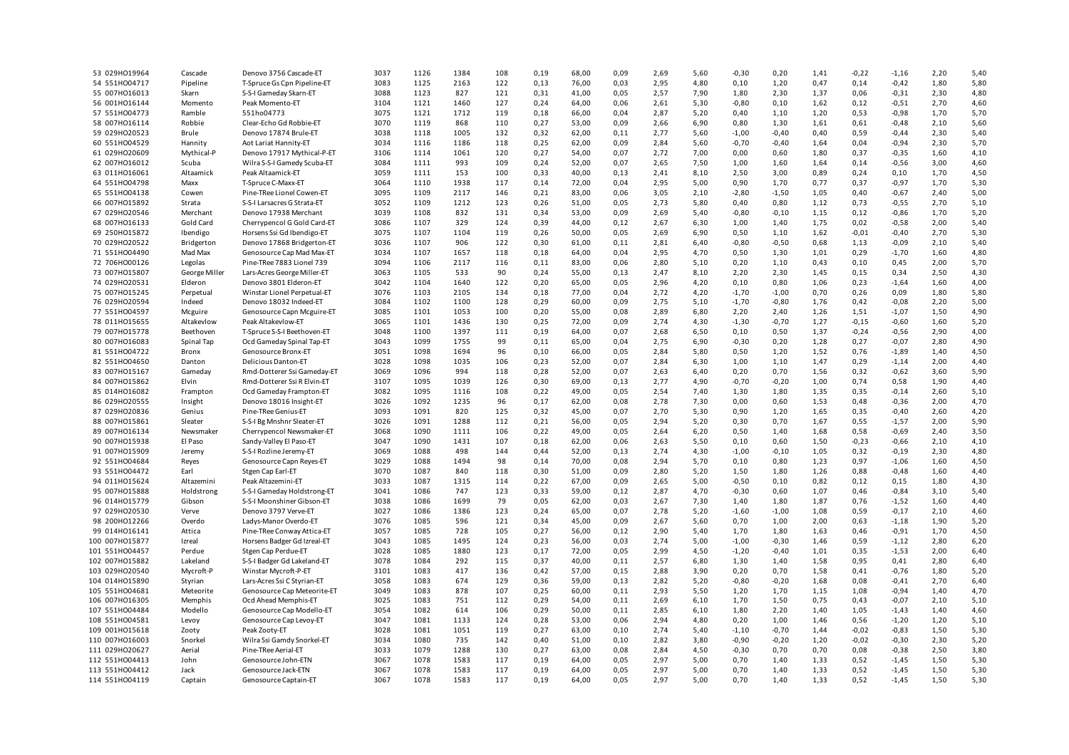| 53 029H019964  | Cascade       | Denovo 3756 Cascade-ET      | 3037 | 1126 | 1384 | 108 | 0,19 | 68,00 | 0,09 | 2,69 | 5,60 | $-0,30$ | 0,20    | 1,41 | $-0,22$ | $-1,16$ | 2,20 | 5,40 |
|----------------|---------------|-----------------------------|------|------|------|-----|------|-------|------|------|------|---------|---------|------|---------|---------|------|------|
| 54 551H004717  | Pipeline      | T-Spruce Gs Cpn Pipeline-ET | 3083 | 1125 | 2163 | 122 | 0,13 | 76,00 | 0,03 | 2,95 | 4,80 | 0,10    | 1,20    | 0,47 | 0,14    | $-0,42$ | 1,80 | 5,80 |
| 55 007H016013  | Skarn         | S-S-I Gameday Skarn-ET      | 3088 | 1123 | 827  | 121 | 0,31 | 41,00 | 0,05 | 2,57 | 7,90 | 1,80    | 2,30    | 1,37 | 0,06    | $-0,31$ | 2,30 | 4,80 |
| 56 001H016144  | Momento       | Peak Momento-ET             | 3104 | 1121 | 1460 | 127 | 0,24 | 64,00 | 0,06 | 2,61 | 5,30 | $-0,80$ | 0,10    | 1,62 | 0,12    | $-0,51$ | 2,70 | 4,60 |
| 57 551H004773  | Ramble        | 551ho04773                  | 3075 | 1121 | 1712 | 119 | 0,18 | 66,00 | 0,04 | 2,87 | 5,20 | 0,40    | 1,10    | 1,20 | 0,53    | $-0,98$ | 1,70 | 5,70 |
| 58 007H016114  | Robbie        | Clear-Echo Gd Robbie-ET     | 3070 | 1119 | 868  | 110 | 0,27 | 53,00 | 0,09 | 2,66 | 6,90 | 0,80    | 1,30    | 1,61 | 0,61    | $-0,48$ | 2,10 | 5,60 |
|                | Brule         | Denovo 17874 Brule-ET       | 3038 | 1118 | 1005 | 132 |      |       |      | 2,77 |      |         | $-0,40$ |      | 0,59    |         |      | 5,40 |
| 59 029HO20523  |               |                             |      |      |      |     | 0,32 | 62,00 | 0,11 |      | 5,60 | $-1,00$ |         | 0,40 |         | $-0,44$ | 2,30 |      |
| 60 551H004529  | Hannity       | Aot Lariat Hannity-ET       | 3034 | 1116 | 1186 | 118 | 0,25 | 62,00 | 0,09 | 2,84 | 5,60 | $-0,70$ | $-0,40$ | 1,64 | 0,04    | $-0,94$ | 2,30 | 5,70 |
| 61 029HO20609  | Mythical-P    | Denovo 17917 Mythical-P-ET  | 3106 | 1114 | 1061 | 120 | 0,27 | 54,00 | 0,07 | 2,72 | 7,00 | 0,00    | 0,60    | 1,80 | 0,37    | $-0,35$ | 1,60 | 4,10 |
| 62 007H016012  | Scuba         | Wilra S-S-I Gamedy Scuba-ET | 3084 | 1111 | 993  | 109 | 0,24 | 52,00 | 0,07 | 2,65 | 7,50 | 1,00    | 1,60    | 1,64 | 0,14    | $-0,56$ | 3,00 | 4,60 |
| 63 011H016061  | Altaamick     | Peak Altaamick-ET           | 3059 | 1111 | 153  | 100 | 0,33 | 40,00 | 0,13 | 2,41 | 8,10 | 2,50    | 3,00    | 0,89 | 0,24    | 0,10    | 1,70 | 4,50 |
| 64 551H004798  | Maxx          | T-Spruce C-Maxx-ET          | 3064 | 1110 | 1938 | 117 | 0,14 | 72,00 | 0,04 | 2,95 | 5,00 | 0,90    | 1,70    | 0,77 | 0,37    | $-0,97$ | 1,70 | 5,30 |
| 65 551H004138  | Cowen         | Pine-TRee Lionel Cowen-ET   | 3095 | 1109 | 2117 | 146 | 0,21 | 83,00 | 0,06 | 3,05 | 2,10 | $-2,80$ | $-1,50$ | 1,05 | 0,40    | $-0,67$ | 2,40 | 5,00 |
| 66 007H015892  | Strata        | S-S-I Larsacres G Strata-ET | 3052 | 1109 | 1212 | 123 | 0,26 | 51,00 | 0,05 | 2,73 | 5,80 | 0,40    | 0,80    | 1,12 | 0,73    | $-0,55$ | 2,70 | 5,10 |
| 67 029HO20546  | Merchant      | Denovo 17938 Merchant       | 3039 | 1108 | 832  | 131 | 0,34 | 53,00 | 0,09 | 2,69 | 5,40 | $-0,80$ | $-0,10$ | 1,15 | 0,12    | $-0,86$ | 1,70 | 5,20 |
| 68 007HO16133  | Gold Card     | Cherrypencol G Gold Card-ET | 3086 | 1107 | 329  | 124 | 0,39 | 44,00 | 0,12 | 2,67 | 6,30 | 1,00    | 1,40    | 1,75 | 0,02    | $-0,58$ | 2,00 | 5,40 |
| 69 250HO15872  | Ibendigo      | Horsens Ssi Gd Ibendigo-ET  | 3075 | 1107 | 1104 | 119 | 0,26 | 50,00 | 0,05 | 2,69 | 6,90 | 0,50    | 1,10    | 1,62 | $-0,01$ | $-0,40$ | 2,70 | 5,30 |
| 70 029HO20522  | Bridgerton    | Denovo 17868 Bridgerton-ET  | 3036 | 1107 | 906  | 122 | 0,30 | 61,00 | 0,11 | 2,81 | 6,40 | $-0,80$ | $-0,50$ | 0,68 | 1,13    | $-0,09$ | 2,10 | 5,40 |
| 71 551H004490  | Mad Max       | Genosource Cap Mad Max-ET   | 3034 | 1107 | 1657 | 118 | 0,18 | 64,00 | 0,04 | 2,95 | 4,70 | 0,50    | 1,30    | 1,01 | 0,29    | $-1,70$ | 1,60 | 4,80 |
| 72 706HO00126  | Legolas       | Pine-TRee 7883 Lionel 739   | 3094 | 1106 | 2117 | 116 | 0,11 | 83,00 | 0,06 | 2,80 | 5,10 | 0,20    | 1,10    | 0,43 | 0,10    | 0,45    | 2,00 | 5,70 |
| 73 007H015807  | George Miller | Lars-Acres George Miller-ET | 3063 | 1105 | 533  | 90  | 0,24 | 55,00 | 0,13 | 2,47 | 8,10 | 2,20    | 2,30    | 1,45 | 0,15    | 0,34    | 2,50 | 4,30 |
| 74 029H020531  | Elderon       | Denovo 3801 Elderon-ET      | 3042 | 1104 | 1640 | 122 | 0,20 | 65,00 | 0,05 | 2,96 | 4,20 | 0,10    | 0,80    | 1,06 | 0,23    | $-1,64$ | 1,60 | 4,00 |
| 75 007H015245  | Perpetual     | Winstar Lionel Perpetual-ET | 3076 | 1103 | 2105 | 134 | 0,18 | 77,00 | 0,04 | 2,72 | 4,20 | $-1,70$ | $-1,00$ | 0,70 | 0,26    | 0,09    | 1,80 | 5,80 |
|                |               |                             |      |      |      |     |      |       |      |      |      |         |         |      |         |         |      |      |
| 76 029HO20594  | Indeed        | Denovo 18032 Indeed-ET      | 3084 | 1102 | 1100 | 128 | 0,29 | 60,00 | 0,09 | 2,75 | 5,10 | $-1,70$ | $-0,80$ | 1,76 | 0,42    | $-0,08$ | 2,20 | 5,00 |
| 77 551H004597  | Mcguire       | Genosource Capn Mcguire-ET  | 3085 | 1101 | 1053 | 100 | 0,20 | 55,00 | 0,08 | 2,89 | 6,80 | 2,20    | 2,40    | 1,26 | 1,51    | $-1,07$ | 1,50 | 4,90 |
| 78 011H015655  | Altakevlow    | Peak Altakevlow-ET          | 3065 | 1101 | 1436 | 130 | 0,25 | 72,00 | 0,09 | 2,74 | 4,30 | $-1,30$ | $-0,70$ | 1,27 | $-0,15$ | $-0,60$ | 1,60 | 5,20 |
| 79 007H015778  | Beethoven     | T-Spruce S-S-I Beethoven-ET | 3048 | 1100 | 1397 | 111 | 0,19 | 64,00 | 0,07 | 2,68 | 6,50 | 0,10    | 0,50    | 1,37 | $-0,24$ | $-0,56$ | 2,90 | 4,00 |
| 80 007HO16083  | Spinal Tap    | Ocd Gameday Spinal Tap-ET   | 3043 | 1099 | 1755 | 99  | 0,11 | 65,00 | 0,04 | 2,75 | 6,90 | $-0,30$ | 0,20    | 1,28 | 0,27    | $-0,07$ | 2,80 | 4,90 |
| 81 551H004722  | Bronx         | Genosource Bronx-ET         | 3051 | 1098 | 1694 | 96  | 0,10 | 66,00 | 0,05 | 2,84 | 5,80 | 0,50    | 1,20    | 1,52 | 0,76    | $-1,89$ | 1,40 | 4,50 |
| 82 551H004650  | Danton        | Delicious Danton-ET         | 3028 | 1098 | 1035 | 106 | 0,23 | 52,00 | 0,07 | 2,84 | 6,30 | 1,00    | 1,10    | 1,47 | 0,29    | $-1,14$ | 2,00 | 4,40 |
| 83 007H015167  | Gameday       | Rmd-Dotterer Ssi Gameday-ET | 3069 | 1096 | 994  | 118 | 0,28 | 52,00 | 0,07 | 2,63 | 6,40 | 0,20    | 0,70    | 1,56 | 0,32    | $-0,62$ | 3,60 | 5,90 |
| 84 007H015862  | Elvin         | Rmd-Dotterer Ssi R Elvin-ET | 3107 | 1095 | 1039 | 126 | 0,30 | 69,00 | 0,13 | 2,77 | 4,90 | $-0,70$ | $-0,20$ | 1,00 | 0,74    | 0,58    | 1,90 | 4,40 |
| 85 014HO16082  | Frampton      | Ocd Gameday Frampton-ET     | 3082 | 1095 | 1116 | 108 | 0,22 | 49.00 | 0,05 | 2,54 | 7.40 | 1,30    | 1,80    | 1,35 | 0,35    | $-0,14$ | 2,60 | 5,10 |
| 86 029H020555  | Insight       | Denovo 18016 Insight-ET     | 3026 | 1092 | 1235 | 96  | 0,17 | 62,00 | 0,08 | 2,78 | 7,30 | 0,00    | 0,60    | 1,53 | 0,48    | $-0,36$ | 2,00 | 4,70 |
| 87 029HO20836  | Genius        | Pine-TRee Genius-ET         | 3093 | 1091 | 820  | 125 | 0,32 | 45,00 | 0,07 | 2,70 | 5,30 | 0,90    | 1,20    | 1,65 | 0,35    | $-0,40$ | 2,60 | 4,20 |
| 88 007H015861  | Sleater       | S-S-I Bg Mnshnr Sleater-ET  | 3026 | 1091 | 1288 | 112 | 0,21 | 56,00 | 0,05 | 2,94 | 5,20 | 0,30    | 0,70    | 1,67 | 0,55    | $-1,57$ | 2,00 | 5,90 |
| 89 007H016134  | Newsmaker     | Cherrypencol Newsmaker-ET   | 3068 | 1090 | 1111 | 106 | 0,22 | 49,00 | 0,05 | 2,64 | 6,20 | 0,50    | 1,40    | 1,68 | 0,58    | $-0,69$ | 2,40 | 3,50 |
| 90 007H015938  | El Paso       | Sandy-Valley El Paso-ET     | 3047 | 1090 | 1431 | 107 | 0,18 | 62,00 | 0,06 | 2,63 | 5,50 | 0,10    | 0,60    | 1,50 | $-0,23$ | $-0,66$ | 2,10 | 4,10 |
| 91 007H015909  | Jeremy        | S-S-I Rozline Jeremy-ET     | 3069 | 1088 | 498  | 144 | 0,44 | 52,00 | 0,13 | 2,74 | 4,30 | $-1,00$ | $-0,10$ | 1,05 | 0,32    | $-0,19$ | 2,30 | 4,80 |
| 92 551H004684  | Reyes         | Genosource Capn Reyes-ET    | 3029 | 1088 | 1494 | 98  | 0,14 | 70,00 | 0,08 | 2,94 | 5,70 | 0,10    | 0,80    | 1,23 | 0,97    | $-1,06$ | 1,60 | 4,50 |
| 93 551H004472  |               |                             | 3070 | 1087 |      |     | 0,30 | 51,00 |      | 2,80 |      |         | 1,80    | 1,26 | 0,88    | $-0,48$ | 1,60 |      |
|                | Earl          | Stgen Cap Earl-ET           |      |      | 840  | 118 |      |       | 0,09 |      | 5,20 | 1,50    |         |      |         |         |      | 4,40 |
| 94 011H015624  | Altazemini    | Peak Altazemini-ET          | 3033 | 1087 | 1315 | 114 | 0,22 | 67,00 | 0,09 | 2,65 | 5,00 | $-0,50$ | 0,10    | 0,82 | 0,12    | 0,15    | 1,80 | 4,30 |
| 95 007H015888  | Holdstrong    | S-S-I Gameday Holdstrong-ET | 3041 | 1086 | 747  | 123 | 0,33 | 59,00 | 0,12 | 2,87 | 4,70 | $-0,30$ | 0,60    | 1,07 | 0,46    | $-0,84$ | 3,10 | 5,40 |
| 96 014H015779  | Gibson        | S-S-I Moonshiner Gibson-ET  | 3038 | 1086 | 1699 | 79  | 0,05 | 62,00 | 0,03 | 2,67 | 7,30 | 1,40    | 1,80    | 1,87 | 0,76    | $-1,52$ | 1,60 | 4,40 |
| 97 029HO20530  | Verve         | Denovo 3797 Verve-ET        | 3027 | 1086 | 1386 | 123 | 0,24 | 65,00 | 0,07 | 2,78 | 5,20 | $-1,60$ | $-1,00$ | 1,08 | 0,59    | $-0,17$ | 2,10 | 4,60 |
| 98 200HO12266  | Overdo        | Ladys-Manor Overdo-ET       | 3076 | 1085 | 596  | 121 | 0,34 | 45,00 | 0,09 | 2,67 | 5,60 | 0,70    | 1,00    | 2,00 | 0,63    | $-1,18$ | 1,90 | 5,20 |
| 99 014H016141  | Attica        | Pine-TRee Conway Attica-ET  | 3057 | 1085 | 728  | 105 | 0,27 | 56,00 | 0,12 | 2,90 | 5,40 | 1,70    | 1,80    | 1,63 | 0,46    | $-0,91$ | 1,70 | 4,50 |
| 100 007H015877 | Izreal        | Horsens Badger Gd Izreal-ET | 3043 | 1085 | 1495 | 124 | 0,23 | 56,00 | 0,03 | 2,74 | 5,00 | $-1,00$ | $-0,30$ | 1,46 | 0,59    | $-1,12$ | 2,80 | 6,20 |
| 101 551H004457 | Perdue        | Stgen Cap Perdue-ET         | 3028 | 1085 | 1880 | 123 | 0,17 | 72,00 | 0,05 | 2,99 | 4,50 | $-1,20$ | $-0,40$ | 1,01 | 0,35    | $-1,53$ | 2,00 | 6,40 |
| 102 007H015882 | Lakeland      | S-S-I Badger Gd Lakeland-ET | 3078 | 1084 | 292  | 115 | 0,37 | 40,00 | 0,11 | 2,57 | 6,80 | 1,30    | 1,40    | 1,58 | 0,95    | 0,41    | 2,80 | 6,40 |
| 103 029HO20540 | Mycroft-P     | Winstar Mycroft-P-ET        | 3101 | 1083 | 417  | 136 | 0,42 | 57,00 | 0,15 | 2,88 | 3,90 | 0,20    | 0,70    | 1,58 | 0,41    | $-0,76$ | 1,80 | 5,20 |
| 104 014H015890 | Styrian       | Lars-Acres Ssi C Styrian-ET | 3058 | 1083 | 674  | 129 | 0,36 | 59,00 | 0,13 | 2,82 | 5,20 | $-0,80$ | $-0,20$ | 1,68 | 0,08    | $-0,41$ | 2,70 | 6,40 |
| 105 551H004681 | Meteorite     | Genosource Cap Meteorite-ET | 3049 | 1083 | 878  | 107 | 0,25 | 60,00 | 0,11 | 2,93 | 5,50 | 1,20    | 1,70    | 1,15 | 1,08    | $-0,94$ | 1,40 | 4,70 |
| 106 007HO16305 | Memphis       | Ocd Ahead Memphis-ET        | 3025 | 1083 | 751  | 112 | 0,29 | 54,00 | 0,11 | 2,69 | 6,10 | 1,70    | 1,50    | 0,75 | 0,43    | $-0,07$ | 2,10 | 5,10 |
| 107 551H004484 | Modello       | Genosource Cap Modello-ET   | 3054 | 1082 | 614  | 106 | 0,29 | 50.00 | 0,11 | 2,85 | 6,10 | 1,80    | 2,20    | 1,40 | 1,05    | $-1,43$ | 1,40 | 4,60 |
| 108 551H004581 | Levoy         | Genosource Cap Levoy-ET     | 3047 | 1081 | 1133 | 124 | 0,28 | 53,00 | 0,06 | 2,94 | 4,80 | 0,20    | 1,00    | 1,46 | 0,56    | $-1,20$ | 1,20 | 5,10 |
| 109 001H015618 | Zooty         | Peak Zooty-ET               | 3028 | 1081 | 1051 | 119 | 0,27 | 63,00 | 0,10 | 2,74 | 5,40 | $-1,10$ | $-0,70$ | 1,44 | $-0,02$ | $-0,83$ | 1,50 | 5,30 |
| 110 007H016003 | Snorkel       | Wilra Ssi Gamdy Snorkel-ET  | 3034 | 1080 | 735  | 142 | 0,40 | 51,00 | 0,10 | 2,82 | 3,80 | $-0,90$ | $-0,20$ | 1,20 | $-0,02$ | $-0,30$ | 2,30 | 5,20 |
|                | Aerial        | Pine-TRee Aerial-ET         | 3033 | 1079 | 1288 | 130 |      |       | 0,08 | 2,84 |      |         | 0,70    |      |         | $-0,38$ |      | 3,80 |
| 111 029HO20627 |               |                             |      |      |      |     | 0,27 | 63,00 |      |      | 4,50 | $-0,30$ |         | 0,70 | 0,08    |         | 2,50 |      |
| 112 551H004413 | John          | Genosource John-ETN         | 3067 | 1078 | 1583 | 117 | 0,19 | 64,00 | 0,05 | 2,97 | 5,00 | 0,70    | 1,40    | 1,33 | 0,52    | $-1,45$ | 1,50 | 5,30 |
| 113 551H004412 | Jack          | Genosource Jack-ETN         | 3067 | 1078 | 1583 | 117 | 0,19 | 64,00 | 0,05 | 2,97 | 5,00 | 0,70    | 1,40    | 1,33 | 0,52    | $-1,45$ | 1,50 | 5,30 |
| 114 551H004119 | Captain       | Genosource Captain-ET       | 3067 | 1078 | 1583 | 117 | 0,19 | 64,00 | 0,05 | 2,97 | 5,00 | 0,70    | 1,40    | 1,33 | 0,52    | $-1,45$ | 1,50 | 5,30 |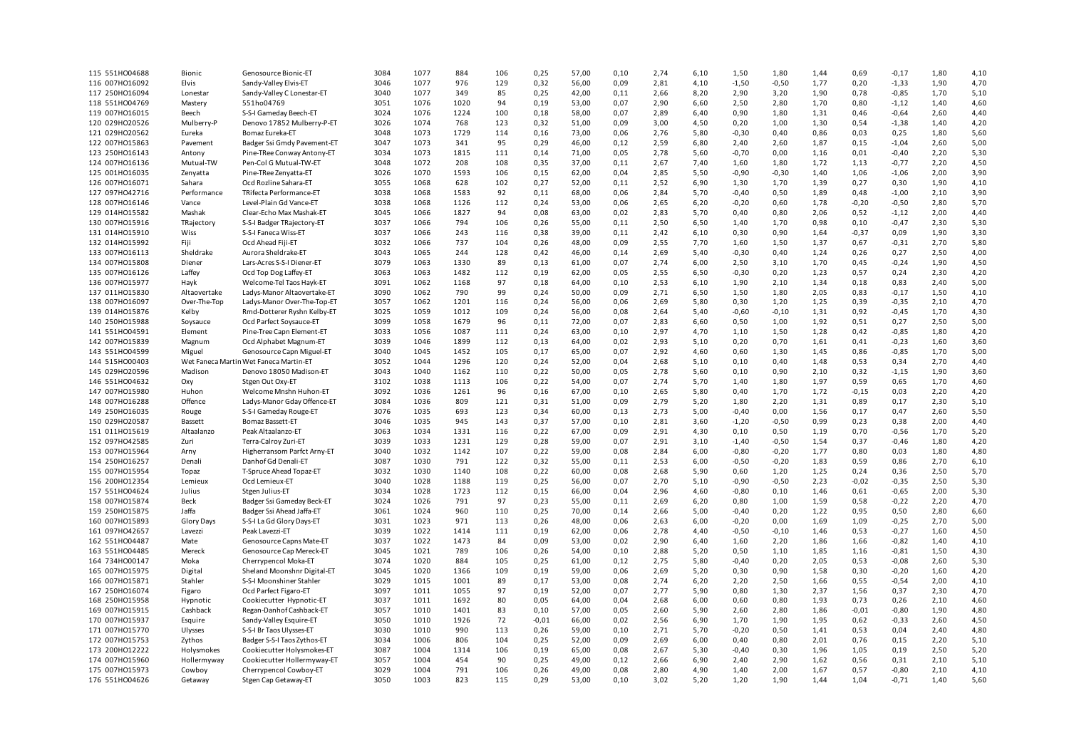| 115 551H004688 | Bionic                | Genosource Bionic-ET                   | 3084 | 1077 | 884  | 106 | 0,25    | 57,00 | 0,10 | 2,74 | 6,10 | 1,50    | 1,80    | 1,44 | 0,69    | $-0,17$ | 1,80         | 4,10         |
|----------------|-----------------------|----------------------------------------|------|------|------|-----|---------|-------|------|------|------|---------|---------|------|---------|---------|--------------|--------------|
| 116 007H016092 | Elvis                 | Sandy-Valley Elvis-ET                  | 3046 | 1077 | 976  | 129 | 0,32    | 56,00 | 0,09 | 2,81 | 4,10 | $-1,50$ | $-0,50$ | 1,77 | 0,20    | $-1,33$ | 1,90         | 4,70         |
| 117 250HO16094 | Lonestar              | Sandy-Valley C Lonestar-ET             | 3040 | 1077 | 349  | 85  | 0,25    | 42,00 | 0,11 | 2,66 | 8,20 | 2,90    | 3,20    | 1,90 | 0,78    | $-0,85$ | 1,70         | 5,10         |
| 118 551H004769 | Mastery               | 551ho04769                             | 3051 | 1076 | 1020 | 94  | 0,19    | 53,00 | 0,07 | 2,90 | 6,60 | 2,50    | 2,80    | 1,70 | 0,80    | $-1,12$ | 1,40         | 4,60         |
| 119 007HO16015 | Beech                 | S-S-I Gameday Beech-ET                 | 3024 | 1076 | 1224 | 100 | 0,18    | 58,00 | 0,07 | 2,89 | 6.40 | 0,90    | 1,80    | 1,31 | 0,46    | $-0,64$ | 2,60         | 4,40         |
| 120 029HO20526 | Mulberry-P            | Denovo 17852 Mulberry-P-ET             | 3026 | 1074 | 768  | 123 | 0,32    | 51,00 | 0,09 | 3,00 | 4,50 | 0,20    | 1,00    | 1,30 | 0,54    | $-1,38$ | 1,40         | 4,20         |
| 121 029HO20562 | Eureka                | Bomaz Eureka-ET                        | 3048 | 1073 | 1729 | 114 | 0,16    | 73,00 | 0,06 | 2,76 | 5,80 | $-0,30$ | 0,40    | 0,86 | 0,03    | 0,25    | 1,80         | 5,60         |
| 122 007HO15863 | Pavement              | Badger Ssi Gmdy Pavement-ET            | 3047 | 1073 | 341  | 95  | 0,29    | 46,00 | 0,12 | 2,59 | 6,80 | 2,40    | 2,60    | 1,87 | 0,15    | $-1,04$ | 2,60         | 5,00         |
| 123 250HO16143 | Antony                | Pine-TRee Conway Antony-ET             | 3034 | 1073 | 1815 | 111 | 0,14    | 71,00 | 0,05 | 2,78 | 5,60 | $-0,70$ | 0,00    | 1,16 | 0,01    | $-0,40$ | 2,20         | 5,30         |
| 124 007HO16136 | Mutual-TW             | Pen-Col G Mutual-TW-ET                 | 3048 | 1072 | 208  | 108 | 0,35    | 37,00 | 0,11 | 2,67 | 7,40 | 1,60    | 1,80    | 1,72 | 1,13    | $-0,77$ | 2,20         | 4,50         |
| 125 001H016035 | Zenyatta              | Pine-TRee Zenyatta-ET                  | 3026 | 1070 | 1593 | 106 | 0,15    | 62,00 | 0,04 | 2,85 | 5,50 | $-0,90$ | $-0,30$ | 1,40 | 1,06    | $-1,06$ | 2,00         | 3,90         |
| 126 007H016071 | Sahara                | Ocd Rozline Sahara-ET                  | 3055 | 1068 | 628  | 102 | 0,27    | 52,00 | 0,11 | 2,52 | 6,90 | 1,30    | 1,70    | 1,39 | 0,27    | 0,30    | 1,90         | 4,10         |
| 127 097H042716 | Performance           | TRifecta Performance-ET                | 3038 | 1068 | 1583 | 92  | 0,11    | 68,00 | 0,06 | 2,84 | 5,70 | $-0,40$ | 0,50    | 1,89 | 0,48    | $-1,00$ | 2,10         | 3,90         |
| 128 007H016146 | Vance                 | Level-Plain Gd Vance-ET                | 3038 | 1068 | 1126 | 112 | 0,24    | 53,00 | 0,06 | 2,65 | 6,20 | $-0,20$ | 0,60    | 1,78 | $-0,20$ | $-0,50$ | 2,80         | 5,70         |
| 129 014H015582 | Mashak                | Clear-Echo Max Mashak-ET               | 3045 | 1066 | 1827 | 94  | 0,08    | 63,00 | 0,02 | 2,83 | 5,70 | 0,40    | 0,80    | 2,06 | 0,52    | $-1,12$ | 2,00         | 4,40         |
| 130 007H015916 | TRajectory            | S-S-I Badger TRajectory-ET             | 3037 | 1066 | 794  | 106 | 0,26    | 55,00 | 0,11 | 2,50 | 6,50 | 1,40    | 1,70    | 0,98 | 0,10    | $-0,47$ | 2,30         | 5,30         |
| 131 014H015910 | Wiss                  | S-S-I Faneca Wiss-ET                   | 3037 | 1066 | 243  | 116 | 0,38    | 39,00 | 0,11 | 2,42 | 6,10 | 0,30    | 0,90    | 1,64 | $-0,37$ | 0,09    | 1,90         | 3,30         |
| 132 014H015992 | Fiji                  | Ocd Ahead Fiji-ET                      | 3032 | 1066 | 737  | 104 | 0,26    | 48,00 | 0,09 | 2,55 | 7,70 | 1,60    | 1,50    | 1,37 | 0,67    | $-0,31$ | 2,70         | 5,80         |
| 133 007HO16113 | Sheldrake             | Aurora Sheldrake-ET                    | 3043 | 1065 | 244  | 128 | 0,42    | 46,00 | 0,14 | 2,69 | 5,40 | $-0,30$ | 0,40    | 1,24 | 0,26    | 0,27    | 2,50         | 4,00         |
| 134 007H015808 | Diener                | Lars-Acres S-S-I Diener-ET             | 3079 | 1063 | 1330 | 89  | 0,13    | 61,00 | 0,07 | 2,74 | 6,00 | 2,50    | 3,10    | 1,70 | 0,45    | $-0,24$ | 1,90         | 4,50         |
| 135 007HO16126 | Laffey                | Ocd Top Dog Laffey-ET                  | 3063 | 1063 | 1482 | 112 | 0,19    | 62,00 | 0,05 | 2,55 | 6,50 | $-0,30$ | 0,20    | 1,23 | 0,57    | 0,24    | 2,30         | 4,20         |
| 136 007H015977 | Hayk                  | Welcome-Tel Taos Hayk-ET               | 3091 | 1062 | 1168 | 97  | 0,18    | 64,00 | 0,10 | 2,53 | 6,10 | 1,90    | 2,10    | 1,34 | 0,18    | 0,83    | 2,40         | 5,00         |
| 137 011H015830 |                       | Ladys-Manor Altaovertake-ET            | 3090 | 1062 | 790  | 99  | 0,24    | 50,00 | 0,09 | 2,71 | 6,50 | 1,50    | 1,80    | 2,05 | 0,83    | $-0,17$ | 1,50         |              |
|                | Altaovertake          |                                        |      |      |      |     |         |       |      |      |      |         |         |      |         |         |              | 4,10         |
| 138 007H016097 | Over-The-Top          | Ladys-Manor Over-The-Top-ET            | 3057 | 1062 | 1201 | 116 | 0,24    | 56,00 | 0,06 | 2,69 | 5,80 | 0,30    | 1,20    | 1,25 | 0,39    | $-0,35$ | 2,10         | 4,70         |
| 139 014H015876 | Kelby                 | Rmd-Dotterer Ryshn Kelby-ET            | 3025 | 1059 | 1012 | 109 | 0,24    | 56,00 | 0,08 | 2,64 | 5,40 | $-0,60$ | $-0,10$ | 1,31 | 0,92    | $-0,45$ | 1,70         | 4,30         |
| 140 250HO15988 | Soysauce              | Ocd Parfect Soysauce-ET                | 3099 | 1058 | 1679 | 96  | 0,11    | 72,00 | 0,07 | 2,83 | 6,60 | 0,50    | 1,00    | 1,92 | 0,51    | 0,27    | 2,50         | 5,00         |
| 141 551H004591 | Element               | Pine-Tree Capn Element-ET              | 3033 | 1056 | 1087 | 111 | 0,24    | 63,00 | 0,10 | 2,97 | 4,70 | 1,10    | 1,50    | 1,28 | 0,42    | $-0,85$ | 1,80         | 4,20         |
| 142 007H015839 | Magnum                | Ocd Alphabet Magnum-ET                 | 3039 | 1046 | 1899 | 112 | 0,13    | 64,00 | 0,02 | 2,93 | 5,10 | 0,20    | 0,70    | 1,61 | 0,41    | $-0,23$ | 1,60         | 3,60         |
| 143 551H004599 | Miguel                | Genosource Capn Miguel-ET              | 3040 | 1045 | 1452 | 105 | 0,17    | 65,00 | 0,07 | 2,92 | 4,60 | 0,60    | 1,30    | 1,45 | 0,86    | $-0,85$ | 1,70         | 5,00         |
| 144 515H000403 |                       | Wet Faneca Martin Wet Faneca Martin-ET | 3052 | 1044 | 1296 | 120 | 0,24    | 52,00 | 0,04 | 2,68 | 5,10 | 0,10    | 0,40    | 1,48 | 0,53    | 0,34    | 2,70         | 4,40         |
| 145 029HO20596 | Madison               | Denovo 18050 Madison-ET                | 3043 | 1040 | 1162 | 110 | 0,22    | 50,00 | 0,05 | 2,78 | 5,60 | 0,10    | 0,90    | 2,10 | 0,32    | $-1,15$ | 1,90         | 3,60         |
| 146 551H004632 | Oxy                   | Stgen Out Oxy-ET                       | 3102 | 1038 | 1113 | 106 | 0,22    | 54,00 | 0,07 | 2,74 | 5,70 | 1,40    | 1,80    | 1,97 | 0,59    | 0,65    | 1,70         | 4,60         |
| 147 007HO15980 | Huhon                 | Welcome Mnshn Huhon-ET                 | 3092 | 1036 | 1261 | 96  | 0,16    | 67.00 | 0,10 | 2,65 | 5.80 | 0,40    | 1,70    | 1.72 | $-0,15$ | 0,03    | 2,20         | 4,20         |
| 148 007H016288 | Offence               | Ladys-Manor Gday Offence-ET            | 3084 | 1036 | 809  | 121 | 0,31    | 51,00 | 0,09 | 2,79 | 5,20 | 1,80    | 2,20    | 1,31 | 0,89    | 0,17    | 2,30         | 5,10         |
| 149 250HO16035 | Rouge                 | S-S-I Gameday Rouge-ET                 | 3076 | 1035 | 693  | 123 | 0,34    | 60,00 | 0,13 | 2,73 | 5,00 | $-0,40$ | 0,00    | 1,56 | 0,17    | 0,47    | 2,60         | 5,50         |
| 150 029HO20587 | Bassett               | Bomaz Bassett-ET                       | 3046 | 1035 | 945  | 143 | 0,37    | 57,00 | 0,10 | 2,81 | 3,60 | $-1,20$ | $-0,50$ | 0,99 | 0,23    | 0,38    | 2,00         | 4,40         |
| 151 011H015619 | Altaalanzo            | Peak Altaalanzo-ET                     | 3063 | 1034 | 1331 | 116 | 0,22    | 67,00 | 0,09 | 2,91 | 4,30 | 0,10    | 0,50    | 1,19 | 0,70    | $-0,56$ | 1,70         | 5,20         |
| 152 097H042585 | Zuri                  | Terra-Calroy Zuri-ET                   | 3039 | 1033 | 1231 | 129 | 0,28    | 59,00 | 0,07 | 2,91 | 3,10 | $-1,40$ | $-0,50$ | 1,54 | 0,37    | $-0,46$ | 1,80         | 4,20         |
| 153 007H015964 | Arny                  | Higherransom Parfct Arny-ET            | 3040 | 1032 | 1142 | 107 | 0,22    | 59,00 | 0,08 | 2,84 | 6,00 | $-0,80$ | $-0,20$ | 1,77 | 0,80    | 0,03    | 1,80         | 4,80         |
| 154 250HO16257 | Denali                | Danhof Gd Denali-ET                    | 3087 | 1030 | 791  | 122 | 0,32    | 55,00 | 0,11 | 2,53 | 6,00 | $-0,50$ | $-0,20$ | 1,83 | 0,59    | 0,86    | 2,70         | 6,10         |
| 155 007HO15954 | Topaz                 | T-Spruce Ahead Topaz-ET                | 3032 | 1030 | 1140 | 108 | 0,22    | 60,00 | 0,08 | 2,68 | 5,90 | 0,60    | 1,20    | 1,25 | 0,24    | 0,36    | 2,50         | 5,70         |
| 156 200HO12354 | Lemieux               | Ocd Lemieux-ET                         | 3040 | 1028 | 1188 | 119 | 0,25    | 56,00 | 0,07 | 2,70 | 5,10 | $-0,90$ | $-0,50$ | 2,23 | $-0,02$ | $-0,35$ | 2,50         | 5,30         |
| 157 551H004624 | Julius                | Stgen Julius-ET                        | 3034 | 1028 | 1723 | 112 | 0,15    | 66,00 | 0,04 | 2,96 | 4,60 | $-0,80$ | 0,10    | 1,46 | 0,61    | $-0,65$ | 2,00         | 5,30         |
| 158 007H015874 | Beck                  | Badger Ssi Gameday Beck-ET             | 3024 | 1026 | 791  | 97  | 0,23    | 55,00 | 0,11 | 2,69 | 6,20 | 0,80    | 1,00    | 1,59 | 0,58    | $-0,22$ | 2,20         | 4,70         |
| 159 250HO15875 | Jaffa                 | Badger Ssi Ahead Jaffa-ET              | 3061 | 1024 | 960  | 110 | 0,25    | 70,00 | 0,14 | 2,66 | 5,00 | $-0,40$ | 0,20    | 1,22 | 0,95    | 0,50    | 2,80         | 6,60         |
| 160 007H015893 | Glory Days            | S-S-I La Gd Glory Days-ET              | 3031 | 1023 | 971  | 113 | 0,26    | 48,00 | 0,06 | 2,63 | 6,00 | $-0,20$ | 0,00    | 1,69 | 1,09    | $-0,25$ | 2,70         | 5,00         |
| 161 097H042657 | Lavezzi               | Peak Lavezzi-ET                        | 3039 | 1022 | 1414 | 111 | 0,19    | 62,00 | 0,06 | 2,78 | 4,40 | $-0,50$ | $-0,10$ | 1,46 | 0,53    | $-0,27$ | 1,60         | 4,50         |
| 162 551H004487 | Mate                  | Genosource Capns Mate-ET               | 3037 | 1022 | 1473 | 84  | 0,09    | 53,00 | 0,02 | 2,90 | 6,40 | 1,60    | 2,20    | 1,86 | 1,66    | $-0,82$ | 1,40         | 4,10         |
| 163 551H004485 | Mereck                | Genosource Cap Mereck-ET               | 3045 | 1021 | 789  | 106 | 0,26    | 54,00 | 0,10 | 2,88 | 5,20 | 0,50    | 1,10    | 1,85 | 1,16    | $-0,81$ | 1,50         | 4,30         |
| 164 734H000147 | Moka                  | Cherrypencol Moka-ET                   | 3074 | 1020 | 884  | 105 | 0,25    | 61,00 | 0,12 | 2,75 | 5,80 | $-0,40$ | 0,20    | 2,05 | 0,53    | $-0,08$ | 2,60         | 5,30         |
| 165 007H015975 | Digital               | Sheland Moonshnr Digital-ET            | 3045 | 1020 | 1366 | 109 | 0,19    | 59,00 | 0,06 | 2,69 | 5,20 | 0,30    | 0,90    | 1,58 | 0,30    | $-0,20$ | 1,60         | 4,20         |
| 166 007H015871 | Stahler               | S-S-I Moonshiner Stahler               | 3029 | 1015 | 1001 | 89  | 0,17    | 53,00 | 0,08 | 2,74 | 6,20 | 2,20    | 2,50    | 1,66 | 0,55    | $-0,54$ | 2,00         | 4,10         |
| 167 250HO16074 | Figaro                | Ocd Parfect Figaro-ET                  | 3097 | 1011 | 1055 | 97  | 0,19    | 52,00 | 0,07 | 2,77 | 5,90 | 0,80    | 1,30    | 2,37 | 1,56    | 0,37    | 2,30         | 4,70         |
| 168 250HO15958 | Hypnotic              | Cookiecutter Hypnotic-ET               | 3037 | 1011 | 1692 | 80  | 0,05    | 64,00 | 0,04 | 2,68 | 6,00 | 0,60    | 0,80    | 1,93 | 0,73    | 0,26    | 2,10         | 4,60         |
| 169 007HO15915 | Cashback              | Regan-Danhof Cashback-ET               | 3057 | 1010 | 1401 | 83  | 0,10    | 57,00 | 0,05 | 2,60 | 5,90 | 2,60    | 2,80    | 1,86 | $-0,01$ | $-0,80$ | 1,90         | 4,80         |
| 170 007H015937 | Esquire               | Sandy-Valley Esquire-ET                | 3050 | 1010 | 1926 | 72  | $-0,01$ | 66,00 | 0,02 | 2,56 | 6,90 | 1,70    | 1,90    | 1,95 | 0,62    | $-0,33$ | 2,60         | 4,50         |
| 171 007H015770 | Ulysses               | S-S-I Br Taos Ulysses-ET               | 3030 | 1010 | 990  | 113 | 0,26    | 59,00 | 0,10 | 2,71 | 5,70 | $-0,20$ | 0,50    | 1,41 | 0,53    | 0,04    | 2,40         | 4,80         |
| 172 007H015753 | Zythos                | Badger S-S-I Taos Zythos-ET            | 3034 | 1006 | 806  | 104 | 0,25    | 52,00 | 0,09 | 2,69 | 6,00 | 0,40    | 0,80    | 2,01 | 0,76    | 0,15    | 2,20         | 5,10         |
| 173 200HO12222 | Holysmokes            | Cookiecutter Holysmokes-ET             | 3087 | 1004 | 1314 | 106 | 0,19    | 65,00 | 0,08 | 2,67 | 5,30 | $-0,40$ | 0,30    | 1,96 | 1,05    | 0,19    | 2,50         | 5,20         |
| 174 007H015960 |                       | Cookiecutter Hollermyway-ET            | 3057 | 1004 | 454  | 90  | 0,25    | 49,00 | 0,12 | 2,66 | 6,90 | 2,40    | 2,90    | 1,62 | 0,56    | 0,31    |              |              |
| 175 007H015973 | Hollermyway<br>Cowboy | Cherrypencol Cowboy-ET                 | 3029 | 1004 | 791  | 106 | 0,26    | 49,00 | 0,08 | 2,80 | 4,90 | 1,40    | 2,00    | 1,67 | 0,57    | $-0,80$ | 2,10<br>2,10 | 5,10<br>4,10 |
| 176 551H004626 |                       |                                        | 3050 | 1003 | 823  | 115 | 0,29    | 53,00 | 0,10 | 3,02 | 5,20 | 1,20    | 1,90    | 1,44 | 1,04    | $-0,71$ | 1,40         | 5,60         |
|                | Getaway               | Stgen Cap Getaway-ET                   |      |      |      |     |         |       |      |      |      |         |         |      |         |         |              |              |